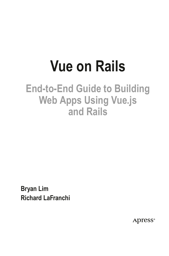# **Vue on Rails**

### **End-to-End Guide to Building Web Apps Using Vue.js and Rails**

**Bryan Lim Richard LaFranchi**

Apress<sup>®</sup>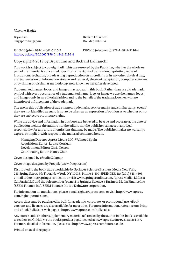#### *Vue on Rails*

Bryan Lim Singapore, Singapore Richard LaFranchi Boulder, CO, USA

#### ISBN-13 (pbk): 978-1-4842-5115-7 ISBN-13 (electronic): 978-1-4842-5116-4 <https://doi.org/10.1007/978-1-4842-5116-4>

#### Copyright © 2019 by Bryan Lim and Richard LaFranchi

This work is subject to copyright. All rights are reserved by the Publisher, whether the whole or part of the material is concerned, specifically the rights of translation, reprinting, reuse of illustrations, recitation, broadcasting, reproduction on microfilms or in any other physical way, and transmission or information storage and retrieval, electronic adaptation, computer software, or by similar or dissimilar methodology now known or hereafter developed.

Trademarked names, logos, and images may appear in this book. Rather than use a trademark symbol with every occurrence of a trademarked name, logo, or image we use the names, logos, and images only in an editorial fashion and to the benefit of the trademark owner, with no intention of infringement of the trademark.

The use in this publication of trade names, trademarks, service marks, and similar terms, even if they are not identified as such, is not to be taken as an expression of opinion as to whether or not they are subject to proprietary rights.

While the advice and information in this book are believed to be true and accurate at the date of publication, neither the authors nor the editors nor the publisher can accept any legal responsibility for any errors or omissions that may be made. The publisher makes no warranty, express or implied, with respect to the material contained herein.

Managing Director, Apress Media LLC: Welmoed Spahr Acquisitions Editor: Louise Corrigan Development Editor: Chris Nelson Coordinating Editor: Nancy Chen

Cover designed by eStudioCalamar

Cover image designed by Freepik (www.freepik.com)

Distributed to the book trade worldwide by Springer Science+Business Media New York, 233 Spring Street, 6th Floor, New York, NY 10013. Phone 1-800-SPRINGER, fax (201) 348-4505, e-mail orders-ny@springer-sbm.com, or visit www.springeronline.com. Apress Media, LLC is a California LLC and the sole member (owner) is Springer Science + Business Media Finance Inc (SSBM Finance Inc). SSBM Finance Inc is a **Delaware** corporation.

For information on translations, please e-mail rights@apress.com, or visit http://www.apress. com/rights-permissions.

Apress titles may be purchased in bulk for academic, corporate, or promotional use. eBook versions and licenses are also available for most titles. For more information, reference our Print and eBook Bulk Sales web page at http://www.apress.com/bulk-sales.

Any source code or other supplementary material referenced by the author in this book is available to readers on GitHub via the book's product page, located at www.apress.com/9781484251157. For more detailed information, please visit http://www.apress.com/source-code.

Printed on acid-free paper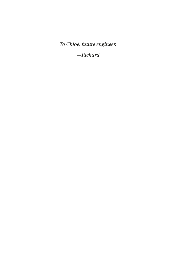To Chloé, future engineer.

 $-Richard$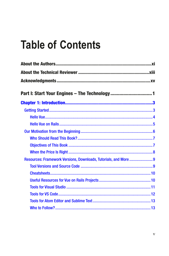### **Table of Contents**

|                                                                |  | Part I: Start Your Engines - The Technology1 |  |
|----------------------------------------------------------------|--|----------------------------------------------|--|
|                                                                |  |                                              |  |
|                                                                |  |                                              |  |
|                                                                |  |                                              |  |
|                                                                |  |                                              |  |
|                                                                |  |                                              |  |
|                                                                |  |                                              |  |
|                                                                |  |                                              |  |
|                                                                |  |                                              |  |
| Resources: Framework Versions, Downloads, Tutorials, and More9 |  |                                              |  |
|                                                                |  |                                              |  |
|                                                                |  |                                              |  |
|                                                                |  |                                              |  |
|                                                                |  |                                              |  |
|                                                                |  |                                              |  |
|                                                                |  |                                              |  |
|                                                                |  |                                              |  |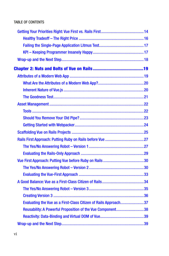| Evaluating the Vue as a First-Class Citizen of Rails Approach37 |  |
|-----------------------------------------------------------------|--|
| Reusability: A Powerful Proposition of the Vue Component38      |  |
|                                                                 |  |
|                                                                 |  |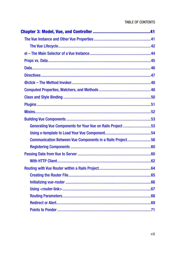| Generating Vue Components for Your Vue on Rails Project 53 |  |
|------------------------------------------------------------|--|
|                                                            |  |
| Communication Between Vue Components in a Rails Project56  |  |
|                                                            |  |
|                                                            |  |
|                                                            |  |
|                                                            |  |
|                                                            |  |
|                                                            |  |
|                                                            |  |
|                                                            |  |
|                                                            |  |
|                                                            |  |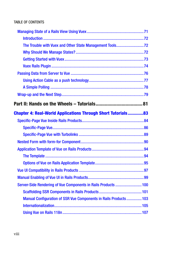| <b>Chapter 4: Real-World Applications Through Short Tutorials83</b> |  |
|---------------------------------------------------------------------|--|
|                                                                     |  |
|                                                                     |  |
|                                                                     |  |
|                                                                     |  |
|                                                                     |  |
|                                                                     |  |
|                                                                     |  |
|                                                                     |  |
|                                                                     |  |
| Server-Side Rendering of Vue Components in Rails Products  100      |  |
|                                                                     |  |
| Manual Configuration of SSR Vue Components in Rails Products 103    |  |
|                                                                     |  |
|                                                                     |  |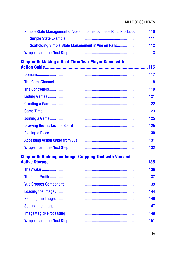| Simple State Management of Vue Components Inside Rails Products 110 |  |
|---------------------------------------------------------------------|--|
|                                                                     |  |
| Scaffolding Simple State Management in Vue on Rails112              |  |
|                                                                     |  |
| <b>Chapter 5: Making a Real-Time Two-Player Game with</b>           |  |
|                                                                     |  |
|                                                                     |  |
|                                                                     |  |
|                                                                     |  |
|                                                                     |  |
|                                                                     |  |
|                                                                     |  |
|                                                                     |  |
|                                                                     |  |
|                                                                     |  |
|                                                                     |  |
|                                                                     |  |
| <b>Chapter 6: Building an Image-Cropping Tool with Vue and</b>      |  |
|                                                                     |  |
|                                                                     |  |
|                                                                     |  |
|                                                                     |  |
|                                                                     |  |
|                                                                     |  |
|                                                                     |  |
|                                                                     |  |
|                                                                     |  |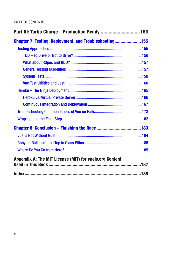| Part III: Turbo Charge - Production Ready  153                |  |
|---------------------------------------------------------------|--|
| <b>Chapter 7: Testing, Deployment, and Troubleshooting155</b> |  |
|                                                               |  |
|                                                               |  |
|                                                               |  |
|                                                               |  |
|                                                               |  |
|                                                               |  |
|                                                               |  |
|                                                               |  |
|                                                               |  |
|                                                               |  |
|                                                               |  |
|                                                               |  |
|                                                               |  |
|                                                               |  |
|                                                               |  |
| Appendix A: The MIT License (MIT) for vuejs.org Content       |  |
|                                                               |  |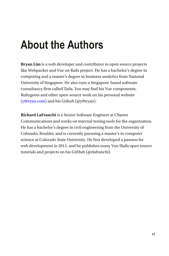### **About the Authors**

**Bryan Lim** is a web developer and contributor to open source projects like Webpacker and Vue on Rails project. He has a bachelor's degree in computing and a master's degree in business analytics from National University of Singapore. He also runs a Singapore-based software consultancy firm called Tada. You may find his Vue components, Rubygems and other open-source work on his personal website ([ytbryan.com](https://ytbryan.com)) and his Github (@ytbryan).

**Richard LaFranchi** is a Senior Software Engineer at Charter Communications and works on internal testing tools for the organization. He has a bachelor's degree in civil engineering from the University of Colorado, Boulder, and is currently pursuing a master's in computer science at Colorado State University. He first developed a passion for web development in 2011, and he publishes many Vue/Rails open source tutorials and projects on his GitHub (@rlafranchi).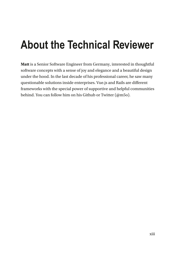## **About the Technical Reviewer**

**Matt** is a Senior Software Engineer from Germany, interested in thoughtful software concepts with a sense of joy and elegance and a beautiful design under the hood. In the last decade of his professional career, he saw many questionable solutions inside enterprises. Vue.js and Rails are different frameworks with the special power of supportive and helpful communities behind. You can follow him on his Github or Twitter (@m5o).